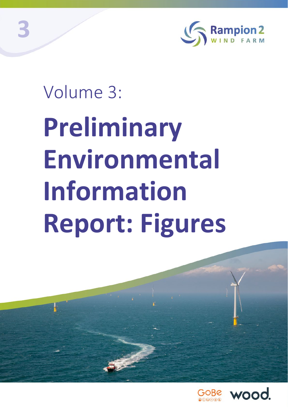

# Volume 3: **Preliminary Environmental Information Report: Figures**



**3**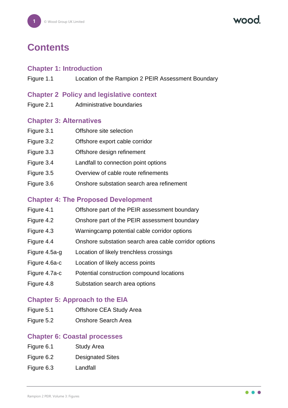vood

# **Contents**

#### **Chapter 1: Introduction**

Figure 1.1 Location of the Rampion 2 PEIR Assessment Boundary

#### **Chapter 2 Policy and legislative context**

Figure 2.1 Administrative boundaries

#### **Chapter 3: Alternatives**

| Figure 3.1 | Offshore site selection                   |
|------------|-------------------------------------------|
| Figure 3.2 | Offshore export cable corridor            |
| Figure 3.3 | Offshore design refinement                |
| Figure 3.4 | Landfall to connection point options      |
| Figure 3.5 | Overview of cable route refinements       |
| Figure 3.6 | Onshore substation search area refinement |
|            |                                           |

# **Chapter 4: The Proposed Development**

| Figure 4.1    | Offshore part of the PEIR assessment boundary         |
|---------------|-------------------------------------------------------|
| Figure 4.2    | Onshore part of the PEIR assessment boundary          |
| Figure 4.3    | Warningcamp potential cable corridor options          |
| Figure 4.4    | Onshore substation search area cable corridor options |
| Figure 4.5a-g | Location of likely trenchless crossings               |
| Figure 4.6a-c | Location of likely access points                      |
| Figure 4.7a-c | Potential construction compound locations             |
| Figure 4.8    | Substation search area options                        |

# **Chapter 5: Approach to the EIA**

- Figure 5.1 Offshore CEA Study Area
- Figure 5.2 Onshore Search Area

# **Chapter 6: Coastal processes**

- Figure 6.1 Study Area
- Figure 6.2 Designated Sites
- Figure 6.3 Landfall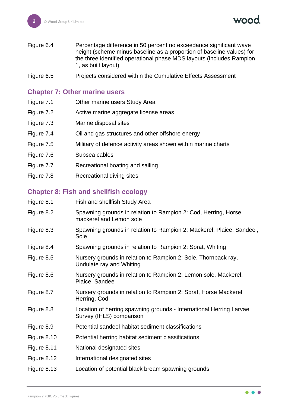vood

- Figure 6.4 Percentage difference in 50 percent no exceedance significant wave height (scheme minus baseline as a proportion of baseline values) for the three identified operational phase MDS layouts (includes Rampion 1, as built layout)
- Figure 6.5 Projects considered within the Cumulative Effects Assessment

#### **Chapter 7: Other marine users**

- Figure 7.1 Other marine users Study Area
- Figure 7.2 Active marine aggregate license areas
- Figure 7.3 Marine disposal sites
- Figure 7.4 Oil and gas structures and other offshore energy
- Figure 7.5 Military of defence activity areas shown within marine charts
- Figure 7.6 Subsea cables
- Figure 7.7 Recreational boating and sailing
- Figure 7.8 Recreational diving sites

#### **Chapter 8: Fish and shellfish ecology**

| Figure 8.1  | Fish and shellfish Study Area                                                                   |
|-------------|-------------------------------------------------------------------------------------------------|
| Figure 8.2  | Spawning grounds in relation to Rampion 2: Cod, Herring, Horse<br>mackerel and Lemon sole       |
| Figure 8.3  | Spawning grounds in relation to Rampion 2: Mackerel, Plaice, Sandeel,<br>Sole                   |
| Figure 8.4  | Spawning grounds in relation to Rampion 2: Sprat, Whiting                                       |
| Figure 8.5  | Nursery grounds in relation to Rampion 2: Sole, Thornback ray,<br>Undulate ray and Whiting      |
| Figure 8.6  | Nursery grounds in relation to Rampion 2: Lemon sole, Mackerel,<br>Plaice, Sandeel              |
| Figure 8.7  | Nursery grounds in relation to Rampion 2: Sprat, Horse Mackerel,<br>Herring, Cod                |
| Figure 8.8  | Location of herring spawning grounds - International Herring Larvae<br>Survey (IHLS) comparison |
| Figure 8.9  | Potential sandeel habitat sediment classifications                                              |
| Figure 8.10 | Potential herring habitat sediment classifications                                              |
| Figure 8.11 | National designated sites                                                                       |
| Figure 8.12 | International designated sites                                                                  |
| Figure 8.13 | Location of potential black bream spawning grounds                                              |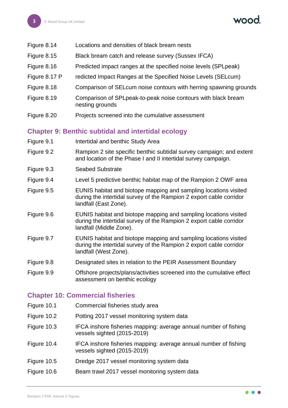- Figure 8.14 Locations and densities of black bream nests
- Figure 8.15 Black bream catch and release survey (Sussex IFCA)
- Figure 8.16 Predicted impact ranges at the specified noise levels (SPLpeak)
- Figure 8.17 P redicted Impact Ranges at the Specified Noise Levels (SELcum)
- Figure 8.18 Comparison of SELcum noise contours with herring spawning grounds
- Figure 8.19 Comparison of SPLpeak-to-peak noise contours with black bream nesting grounds
- Figure 8.20 Projects screened into the cumulative assessment

# **Chapter 9: Benthic subtidal and intertidal ecology**

- Figure 9.1 **Intertidal and benthic Study Area**
- Figure 9.2 Rampion 2 site specific benthic subtidal survey campaign; and extent and location of the Phase I and II intertidal survey campaign.
- Figure 9.3 Seabed Substrate
- Figure 9.4 Level 5 predictive benthic habitat map of the Rampion 2 OWF area
- Figure 9.5 EUNIS habitat and biotope mapping and sampling locations visited during the intertidal survey of the Rampion 2 export cable corridor landfall (East Zone).
- Figure 9.6 EUNIS habitat and biotope mapping and sampling locations visited during the intertidal survey of the Rampion 2 export cable corridor landfall (Middle Zone).
- Figure 9.7 EUNIS habitat and biotope mapping and sampling locations visited during the intertidal survey of the Rampion 2 export cable corridor landfall (West Zone).
- Figure 9.8 Designated sites in relation to the PEIR Assessment Boundary
- Figure 9.9 Offshore projects/plans/activities screened into the cumulative effect assessment on benthic ecology

# **Chapter 10: Commercial fisheries**

- Figure 10.1 Commercial fisheries study area
- Figure 10.2 Potting 2017 vessel monitoring system data
- Figure 10.3 IFCA inshore fisheries mapping: average annual number of fishing vessels sighted (2015-2019)
- Figure 10.4 IFCA inshore fisheries mapping: average annual number of fishing vessels sighted (2015-2019)
- Figure 10.5 Dredge 2017 vessel monitoring system data
- Figure 10.6 Beam trawl 2017 vessel monitoring system data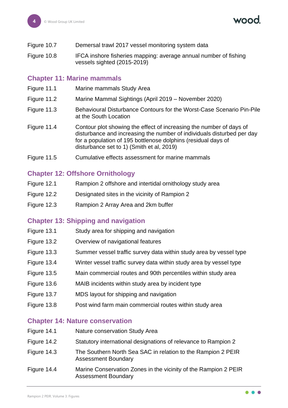| Figure 10.7 |  | Demersal trawl 2017 vessel monitoring system data |
|-------------|--|---------------------------------------------------|
|-------------|--|---------------------------------------------------|

Figure 10.8 IFCA inshore fisheries mapping: average annual number of fishing vessels sighted (2015-2019)

#### **Chapter 11: Marine mammals**

- Figure 11.1 Marine mammals Study Area
- Figure 11.2 Marine Mammal Sightings (April 2019 November 2020)
- Figure 11.3 Behavioural Disturbance Contours for the Worst-Case Scenario Pin-Pile at the South Location
- Figure 11.4 Contour plot showing the effect of increasing the number of days of disturbance and increasing the number of individuals disturbed per day for a population of 195 bottlenose dolphins (residual days of disturbance set to 1) (Smith et al, 2019)
- Figure 11.5 Cumulative effects assessment for marine mammals

# **Chapter 12: Offshore Ornithology**

- Figure 12.1 Rampion 2 offshore and intertidal ornithology study area
- Figure 12.2 Designated sites in the vicinity of Rampion 2
- Figure 12.3 Rampion 2 Array Area and 2km buffer

#### **Chapter 13: Shipping and navigation**

- Figure 13.1 Study area for shipping and navigation
- Figure 13.2 Overview of navigational features
- Figure 13.3 Summer vessel traffic survey data within study area by vessel type
- Figure 13.4 Winter vessel traffic survey data within study area by vessel type
- Figure 13.5 Main commercial routes and 90th percentiles within study area
- Figure 13.6 MAIB incidents within study area by incident type
- Figure 13.7 MDS layout for shipping and navigation
- Figure 13.8 Post wind farm main commercial routes within study area

#### **Chapter 14: Nature conservation**

- Figure 14.1 Nature conservation Study Area
- Figure 14.2 Statutory international designations of relevance to Rampion 2
- Figure 14.3 The Southern North Sea SAC in relation to the Rampion 2 PEIR Assessment Boundary
- Figure 14.4 Marine Conservation Zones in the vicinity of the Rampion 2 PEIR Assessment Boundary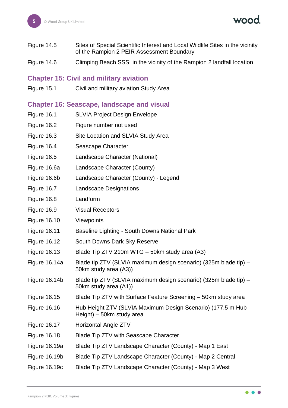**wood** 

- Figure 14.5 Sites of Special Scientific Interest and Local Wildlife Sites in the vicinity of the Rampion 2 PEIR Assessment Boundary
- Figure 14.6 Climping Beach SSSI in the vicinity of the Rampion 2 landfall location

#### **Chapter 15: Civil and military aviation**

Figure 15.1 Civil and military aviation Study Area

#### **Chapter 16: Seascape, landscape and visual**

| Figure 16.1         | <b>SLVIA Project Design Envelope</b>                                                      |
|---------------------|-------------------------------------------------------------------------------------------|
| Figure 16.2         | Figure number not used                                                                    |
| Figure 16.3         | Site Location and SLVIA Study Area                                                        |
| Figure 16.4         | Seascape Character                                                                        |
| Figure 16.5         | Landscape Character (National)                                                            |
| Figure 16.6a        | Landscape Character (County)                                                              |
| Figure 16.6b        | Landscape Character (County) - Legend                                                     |
| Figure 16.7         | <b>Landscape Designations</b>                                                             |
| Figure 16.8         | Landform                                                                                  |
| Figure 16.9         | <b>Visual Receptors</b>                                                                   |
| <b>Figure 16.10</b> | Viewpoints                                                                                |
| <b>Figure 16.11</b> | Baseline Lighting - South Downs National Park                                             |
| <b>Figure 16.12</b> | South Downs Dark Sky Reserve                                                              |
| <b>Figure 16.13</b> | Blade Tip ZTV 210m WTG - 50km study area (A3)                                             |
| Figure 16.14a       | Blade tip ZTV (SLVIA maximum design scenario) (325m blade tip) –<br>50km study area (A3)) |
| Figure 16.14b       | Blade tip ZTV (SLVIA maximum design scenario) (325m blade tip) –<br>50km study area (A1)) |
| <b>Figure 16.15</b> | Blade Tip ZTV with Surface Feature Screening - 50km study area                            |
| <b>Figure 16.16</b> | Hub Height ZTV (SLVIA Maximum Design Scenario) (177.5 m Hub<br>Height) – 50km study area  |
| <b>Figure 16.17</b> | Horizontal Angle ZTV                                                                      |
| <b>Figure 16.18</b> | Blade Tip ZTV with Seascape Character                                                     |
| Figure 16.19a       | Blade Tip ZTV Landscape Character (County) - Map 1 East                                   |
| Figure 16.19b       | Blade Tip ZTV Landscape Character (County) - Map 2 Central                                |
| Figure 16.19c       | Blade Tip ZTV Landscape Character (County) - Map 3 West                                   |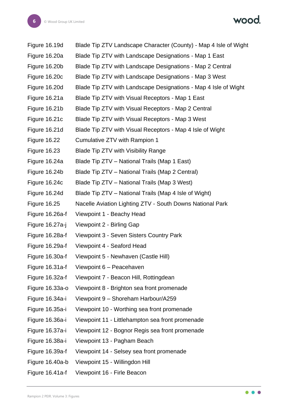wood.

| Figure 16.19d       | Blade Tip ZTV Landscape Character (County) - Map 4 Isle of Wight |
|---------------------|------------------------------------------------------------------|
| Figure 16.20a       | Blade Tip ZTV with Landscape Designations - Map 1 East           |
| Figure 16.20b       | Blade Tip ZTV with Landscape Designations - Map 2 Central        |
| Figure 16.20c       | Blade Tip ZTV with Landscape Designations - Map 3 West           |
| Figure 16.20d       | Blade Tip ZTV with Landscape Designations - Map 4 Isle of Wight  |
| Figure 16.21a       | Blade Tip ZTV with Visual Receptors - Map 1 East                 |
| Figure 16.21b       | Blade Tip ZTV with Visual Receptors - Map 2 Central              |
| Figure 16.21c       | Blade Tip ZTV with Visual Receptors - Map 3 West                 |
| Figure 16.21d       | Blade Tip ZTV with Visual Receptors - Map 4 Isle of Wight        |
| <b>Figure 16.22</b> | Cumulative ZTV with Rampion 1                                    |
| <b>Figure 16.23</b> | <b>Blade Tip ZTV with Visibility Range</b>                       |
| Figure 16.24a       | Blade Tip ZTV – National Trails (Map 1 East)                     |
| Figure 16.24b       | Blade Tip ZTV - National Trails (Map 2 Central)                  |
| Figure 16.24c       | Blade Tip ZTV – National Trails (Map 3 West)                     |
| Figure 16.24d       | Blade Tip ZTV – National Trails (Map 4 Isle of Wight)            |
| <b>Figure 16.25</b> | Nacelle Aviation Lighting ZTV - South Downs National Park        |
| Figure 16.26a-f     | Viewpoint 1 - Beachy Head                                        |
| Figure 16.27a-j     | Viewpoint 2 - Birling Gap                                        |
| Figure 16.28a-f     | Viewpoint 3 - Seven Sisters Country Park                         |
| Figure 16.29a-f     | Viewpoint 4 - Seaford Head                                       |
| Figure 16.30a-f     | Viewpoint 5 - Newhaven (Castle Hill)                             |
| Figure 16.31a-f     | Viewpoint 6 - Peacehaven                                         |
| Figure 16.32a-f     | Viewpoint 7 - Beacon Hill, Rottingdean                           |
| Figure 16.33a-o     | Viewpoint 8 - Brighton sea front promenade                       |
| Figure 16.34a-i     | Viewpoint 9 - Shoreham Harbour/A259                              |
| Figure 16.35a-i     | Viewpoint 10 - Worthing sea front promenade                      |
| Figure 16.36a-i     | Viewpoint 11 - Littlehampton sea front promenade                 |
| Figure 16.37a-i     | Viewpoint 12 - Bognor Regis sea front promenade                  |
| Figure 16.38a-i     | Viewpoint 13 - Pagham Beach                                      |
| Figure 16.39a-f     | Viewpoint 14 - Selsey sea front promenade                        |
| Figure 16.40a-b     | Viewpoint 15 - Willingdon Hill                                   |
| Figure 16.41a-f     | Viewpoint 16 - Firle Beacon                                      |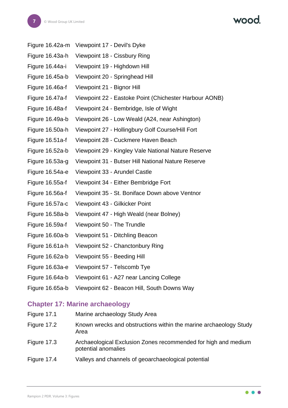|  | VOOO. |
|--|-------|
|  |       |

| Figure 16.42a-m | Viewpoint 17 - Devil's Dyke                            |
|-----------------|--------------------------------------------------------|
| Figure 16.43a-h | Viewpoint 18 - Cissbury Ring                           |
| Figure 16.44a-i | Viewpoint 19 - Highdown Hill                           |
| Figure 16.45a-b | Viewpoint 20 - Springhead Hill                         |
| Figure 16.46a-f | Viewpoint 21 - Bignor Hill                             |
| Figure 16.47a-f | Viewpoint 22 - Eastoke Point (Chichester Harbour AONB) |
| Figure 16.48a-f | Viewpoint 24 - Bembridge, Isle of Wight                |
| Figure 16.49a-b | Viewpoint 26 - Low Weald (A24, near Ashington)         |
| Figure 16.50a-h | Viewpoint 27 - Hollingbury Golf Course/Hill Fort       |
| Figure 16.51a-f | Viewpoint 28 - Cuckmere Haven Beach                    |
| Figure 16.52a-b | Viewpoint 29 - Kingley Vale National Nature Reserve    |
| Figure 16.53a-g | Viewpoint 31 - Butser Hill National Nature Reserve     |
| Figure 16.54a-e | Viewpoint 33 - Arundel Castle                          |
| Figure 16.55a-f | Viewpoint 34 - Either Bembridge Fort                   |
| Figure 16.56a-f | Viewpoint 35 - St. Boniface Down above Ventnor         |
| Figure 16.57a-c | Viewpoint 43 - Gilkicker Point                         |
| Figure 16.58a-b | Viewpoint 47 - High Weald (near Bolney)                |
| Figure 16.59a-f | Viewpoint 50 - The Trundle                             |
| Figure 16.60a-b | Viewpoint 51 - Ditchling Beacon                        |
| Figure 16.61a-h | Viewpoint 52 - Chanctonbury Ring                       |
| Figure 16.62a-b | Viewpoint 55 - Beeding Hill                            |
| Figure 16.63a-e | Viewpoint 57 - Telscomb Tye                            |
| Figure 16.64a-b | Viewpoint 61 - A27 near Lancing College                |
| Figure 16.65a-b | Viewpoint 62 - Beacon Hill, South Downs Way            |

# **Chapter 17: Marine archaeology**

| Figure 17.1 | Marine archaeology Study Area                                                         |
|-------------|---------------------------------------------------------------------------------------|
| Figure 17.2 | Known wrecks and obstructions within the marine archaeology Study<br>Area             |
| Figure 17.3 | Archaeological Exclusion Zones recommended for high and medium<br>potential anomalies |
| Figure 17.4 | Valleys and channels of geoarchaeological potential                                   |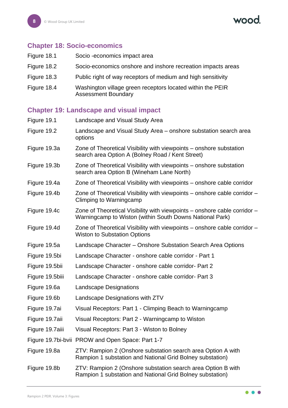vood

#### **Chapter 18: Socio-economics**

- Figure 18.1 Socio -economics impact area
- Figure 18.2 Socio-economics onshore and inshore recreation impacts areas
- Figure 18.3 Public right of way receptors of medium and high sensitivity
- Figure 18.4 Washington village green receptors located within the PEIR Assessment Boundary

#### **Chapter 19: Landscape and visual impact**

| Figure 19.1     | Landscape and Visual Study Area                                                                                                       |
|-----------------|---------------------------------------------------------------------------------------------------------------------------------------|
| Figure 19.2     | Landscape and Visual Study Area – onshore substation search area<br>options                                                           |
| Figure 19.3a    | Zone of Theoretical Visibility with viewpoints – onshore substation<br>search area Option A (Bolney Road / Kent Street)               |
| Figure 19.3b    | Zone of Theoretical Visibility with viewpoints – onshore substation<br>search area Option B (Wineham Lane North)                      |
| Figure 19.4a    | Zone of Theoretical Visibility with viewpoints – onshore cable corridor                                                               |
| Figure 19.4b    | Zone of Theoretical Visibility with viewpoints – onshore cable corridor –<br>Climping to Warningcamp                                  |
| Figure 19.4c    | Zone of Theoretical Visibility with viewpoints – onshore cable corridor –<br>Warningcamp to Wiston (within South Downs National Park) |
| Figure 19.4d    | Zone of Theoretical Visibility with viewpoints – onshore cable corridor –<br><b>Wiston to Substation Options</b>                      |
| Figure 19.5a    | Landscape Character - Onshore Substation Search Area Options                                                                          |
| Figure 19.5bi   | Landscape Character - onshore cable corridor - Part 1                                                                                 |
| Figure 19.5bii  | Landscape Character - onshore cable corridor- Part 2                                                                                  |
| Figure 19.5biii | Landscape Character - onshore cable corridor- Part 3                                                                                  |
| Figure 19.6a    | <b>Landscape Designations</b>                                                                                                         |
| Figure 19.6b    | Landscape Designations with ZTV                                                                                                       |
| Figure 19.7ai   | Visual Receptors: Part 1 - Climping Beach to Warningcamp                                                                              |
| Figure 19.7aii  | Visual Receptors: Part 2 - Warningcamp to Wiston                                                                                      |
| Figure 19.7aiii | Visual Receptors: Part 3 - Wiston to Bolney                                                                                           |
|                 | Figure 19.7bi-bvii PROW and Open Space: Part 1-7                                                                                      |
| Figure 19.8a    | ZTV: Rampion 2 (Onshore substation search area Option A with<br>Rampion 1 substation and National Grid Bolney substation)             |
| Figure 19.8b    | ZTV: Rampion 2 (Onshore substation search area Option B with<br>Rampion 1 substation and National Grid Bolney substation)             |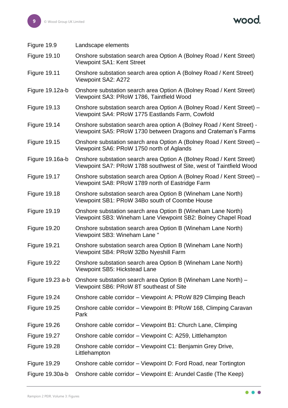| Figure 19.9         | Landscape elements                                                                                                                         |
|---------------------|--------------------------------------------------------------------------------------------------------------------------------------------|
| <b>Figure 19.10</b> | Onshore substation search area Option A (Bolney Road / Kent Street)<br><b>Viewpoint SA1: Kent Street</b>                                   |
| <b>Figure 19.11</b> | Onshore substation search area option A (Bolney Road / Kent Street)<br>Viewpoint SA2: A272                                                 |
| Figure 19.12a-b     | Onshore substation search area Option A (Bolney Road / Kent Street)<br>Viewpoint SA3: PRoW 1786, Taintfield Wood                           |
| <b>Figure 19.13</b> | Onshore substation search area Option A (Bolney Road / Kent Street) -<br>Viewpoint SA4: PRoW 1775 Eastlands Farm, Cowfold                  |
| <b>Figure 19.14</b> | Onshore substation search area option A (Bolney Road / Kent Street) -<br>Viewpoint SA5: PRoW 1730 between Dragons and Crateman's Farms     |
| <b>Figure 19.15</b> | Onshore substation search area Option A (Bolney Road / Kent Street) -<br>Viewpoint SA6: PRoW 1750 north of Aglands                         |
| Figure 19.16a-b     | Onshore substation search area Option A (Bolney Road / Kent Street)<br>Viewpoint SA7: PRoW 1788 southwest of Site, west of Taintfield Wood |
| <b>Figure 19.17</b> | Onshore substation search area Option A (Bolney Road / Kent Street) -<br>Viewpoint SA8: PRoW 1789 north of Eastridge Farm                  |
| <b>Figure 19.18</b> | Onshore substation search area Option B (Wineham Lane North)<br>Viewpoint SB1: PRoW 34Bo south of Coombe House                             |
| <b>Figure 19.19</b> | Onshore substation search area Option B (Wineham Lane North)<br>Viewpoint SB3: Wineham Lane Viewpoint SB2: Bolney Chapel Road              |
| <b>Figure 19.20</b> | Onshore substation search area Option B (Wineham Lane North)<br>Viewpoint SB3: Wineham Lane"                                               |
| Figure 19.21        | Onshore substation search area Option B (Wineham Lane North)<br>Viewpoint SB4: PRoW 32Bo Nyeshill Farm                                     |
| <b>Figure 19.22</b> | Onshore substation search area Option B (Wineham Lane North)<br>Viewpoint SB5: Hickstead Lane                                              |
| Figure 19.23 a-b    | Onshore substation search area Option B (Wineham Lane North) –<br>Viewpoint SB6: PRoW 8T southeast of Site                                 |
| <b>Figure 19.24</b> | Onshore cable corridor – Viewpoint A: PRoW 829 Climping Beach                                                                              |
| <b>Figure 19.25</b> | Onshore cable corridor - Viewpoint B: PRoW 168, Climping Caravan<br>Park                                                                   |
| <b>Figure 19.26</b> | Onshore cable corridor - Viewpoint B1: Church Lane, Climping                                                                               |
| <b>Figure 19.27</b> | Onshore cable corridor – Viewpoint C: A259, Littlehampton                                                                                  |
| <b>Figure 19.28</b> | Onshore cable corridor – Viewpoint C1: Benjamin Grey Drive,<br>Littlehampton                                                               |
| <b>Figure 19.29</b> | Onshore cable corridor – Viewpoint D: Ford Road, near Tortington                                                                           |
| Figure 19.30a-b     | Onshore cable corridor – Viewpoint E: Arundel Castle (The Keep)                                                                            |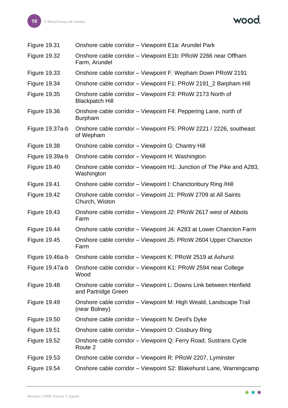wood.

| <b>Figure 19.31</b> | Onshore cable corridor - Viewpoint E1a: Arundel Park                                     |
|---------------------|------------------------------------------------------------------------------------------|
| <b>Figure 19.32</b> | Onshore cable corridor - Viewpoint E1b: PRoW 2266 near Offham<br>Farm, Arundel           |
| <b>Figure 19.33</b> | Onshore cable corridor – Viewpoint F: Wepham Down PRoW 2191                              |
| <b>Figure 19.34</b> | Onshore cable corridor - Viewpoint F1: PRoW 2191_2 Barpham Hill                          |
| <b>Figure 19.35</b> | Onshore cable corridor - Viewpoint F3: PRoW 2173 North of<br><b>Blackpatch Hill</b>      |
| <b>Figure 19.36</b> | Onshore cable corridor - Viewpoint F4: Peppering Lane, north of<br><b>Burpham</b>        |
| Figure 19.37a-b     | Onshore cable corridor – Viewpoint F5: PRoW 2221 / 2226, southeast<br>of Wepham          |
| <b>Figure 19.38</b> | Onshore cable corridor - Viewpoint G: Chantry Hill                                       |
| Figure 19.39a-b     | Onshore cable corridor - Viewpoint H: Washington                                         |
| <b>Figure 19.40</b> | Onshore cable corridor – Viewpoint H1: Junction of The Pike and A283,<br>Washington      |
| <b>Figure 19.41</b> | Onshore cable corridor – Viewpoint I: Chanctonbury Ring /Hill                            |
| <b>Figure 19.42</b> | Onshore cable corridor – Viewpoint J1: PRoW 2709 at All Saints<br>Church, Wiston         |
| <b>Figure 19.43</b> | Onshore cable corridor – Viewpoint J2: PRoW 2617 west of Abbots<br>Farm                  |
| <b>Figure 19.44</b> | Onshore cable corridor – Viewpoint J4: A283 at Lower Chancton Farm                       |
| <b>Figure 19.45</b> | Onshore cable corridor - Viewpoint J5: PRoW 2604 Upper Chancton<br>Farm                  |
| Figure 19.46a-b     | Onshore cable corridor - Viewpoint K: PRoW 2519 at Ashurst                               |
| Figure 19.47a-b     | Onshore cable corridor – Viewpoint K1: PRoW 2594 near College<br>Wood                    |
| <b>Figure 19.48</b> | Onshore cable corridor - Viewpoint L: Downs Link between Henfield<br>and Partridge Green |
| <b>Figure 19.49</b> | Onshore cable corridor – Viewpoint M: High Weald, Landscape Trail<br>(near Bolney)       |
| <b>Figure 19.50</b> | Onshore cable corridor - Viewpoint N: Devil's Dyke                                       |
| <b>Figure 19.51</b> | Onshore cable corridor - Viewpoint O: Cissbury Ring                                      |
| <b>Figure 19.52</b> | Onshore cable corridor – Viewpoint Q: Ferry Road, Sustrans Cycle<br>Route 2              |
| <b>Figure 19.53</b> | Onshore cable corridor – Viewpoint R: PRoW 2207, Lyminster                               |
| <b>Figure 19.54</b> | Onshore cable corridor – Viewpoint S2: Blakehurst Lane, Warningcamp                      |

 $\bullet\bullet\bullet$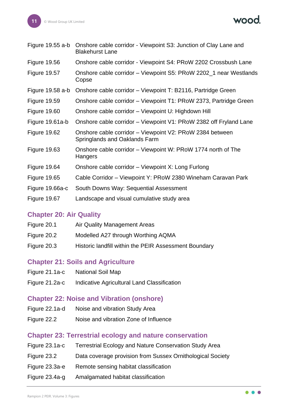wood.

| Figure $19.55$ a-b  | Onshore cable corridor - Viewpoint S3: Junction of Clay Lane and<br><b>Blakehurst Lane</b> |
|---------------------|--------------------------------------------------------------------------------------------|
| <b>Figure 19.56</b> | Onshore cable corridor - Viewpoint S4: PRoW 2202 Crossbush Lane                            |
| <b>Figure 19.57</b> | Onshore cable corridor – Viewpoint S5: PRoW 2202_1 near Westlands<br>Copse                 |
| Figure $19.58$ a-b  | Onshore cable corridor – Viewpoint T: B2116, Partridge Green                               |
| <b>Figure 19.59</b> | Onshore cable corridor – Viewpoint T1: PRoW 2373, Partridge Green                          |
| <b>Figure 19.60</b> | Onshore cable corridor – Viewpoint U: Highdown Hill                                        |
| Figure 19.61a-b     | Onshore cable corridor – Viewpoint V1: PRoW 2382 off Fryland Lane                          |
| <b>Figure 19.62</b> | Onshore cable corridor – Viewpoint V2: PRoW 2384 between<br>Springlands and Oaklands Farm  |
| <b>Figure 19.63</b> | Onshore cable corridor – Viewpoint W: PRoW 1774 north of The<br>Hangers                    |
| <b>Figure 19.64</b> | Onshore cable corridor – Viewpoint X: Long Furlong                                         |
| <b>Figure 19.65</b> | Cable Corridor – Viewpoint Y: PRoW 2380 Wineham Caravan Park                               |
| Figure 19.66a-c     | South Downs Way: Sequential Assessment                                                     |
| <b>Figure 19.67</b> | Landscape and visual cumulative study area                                                 |

#### **Chapter 20: Air Quality**

| Figure 20.1 | Air Quality Management Areas                          |
|-------------|-------------------------------------------------------|
| Figure 20.2 | Modelled A27 through Worthing AQMA                    |
| Figure 20.3 | Historic landfill within the PEIR Assessment Boundary |

# **Chapter 21: Soils and Agriculture**

| Figure 21.1a-c | <b>National Soil Map</b>                    |
|----------------|---------------------------------------------|
| Figure 21.2a-c | Indicative Agricultural Land Classification |

# **Chapter 22: Noise and Vibration (onshore)**

- Figure 22.1a-d Noise and vibration Study Area
- Figure 22.2 Noise and vibration Zone of Influence

# **Chapter 23: Terrestrial ecology and nature conservation**

| Figure 23.1a-c | <b>Terrestrial Ecology and Nature Conservation Study Area</b> |
|----------------|---------------------------------------------------------------|
| Figure 23.2    | Data coverage provision from Sussex Ornithological Society    |
| Figure 23.3a-e | Remote sensing habitat classification                         |
| Figure 23.4a-g | Amalgamated habitat classification                            |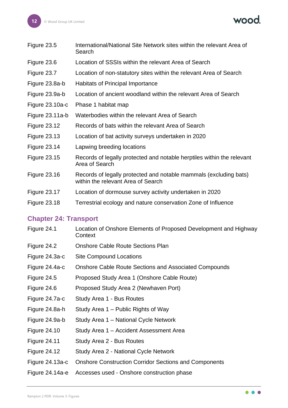wood.

| Figure 23.5         | International/National Site Network sites within the relevant Area of<br>Search                         |
|---------------------|---------------------------------------------------------------------------------------------------------|
| Figure 23.6         | Location of SSSIs within the relevant Area of Search                                                    |
| Figure 23.7         | Location of non-statutory sites within the relevant Area of Search                                      |
| Figure 23.8a-b      | Habitats of Principal Importance                                                                        |
| Figure 23.9a-b      | Location of ancient woodland within the relevant Area of Search                                         |
| Figure 23.10a-c     | Phase 1 habitat map                                                                                     |
| Figure 23.11a-b     | Waterbodies within the relevant Area of Search                                                          |
| <b>Figure 23.12</b> | Records of bats within the relevant Area of Search                                                      |
| <b>Figure 23.13</b> | Location of bat activity surveys undertaken in 2020                                                     |
| <b>Figure 23.14</b> | Lapwing breeding locations                                                                              |
| <b>Figure 23.15</b> | Records of legally protected and notable herptiles within the relevant<br>Area of Search                |
| <b>Figure 23.16</b> | Records of legally protected and notable mammals (excluding bats)<br>within the relevant Area of Search |
| <b>Figure 23.17</b> | Location of dormouse survey activity undertaken in 2020                                                 |
| <b>Figure 23.18</b> | Terrestrial ecology and nature conservation Zone of Influence                                           |
|                     |                                                                                                         |

# **Chapter 24: Transport**

| Figure 24.1         | Location of Onshore Elements of Proposed Development and Highway<br>Context |
|---------------------|-----------------------------------------------------------------------------|
| Figure 24.2         | <b>Onshore Cable Route Sections Plan</b>                                    |
| Figure 24.3a-c      | <b>Site Compound Locations</b>                                              |
| Figure 24.4a-c      | <b>Onshore Cable Route Sections and Associated Compounds</b>                |
| Figure 24.5         | Proposed Study Area 1 (Onshore Cable Route)                                 |
| Figure 24.6         | Proposed Study Area 2 (Newhaven Port)                                       |
| Figure 24.7a-c      | Study Area 1 - Bus Routes                                                   |
| Figure 24.8a-h      | Study Area 1 – Public Rights of Way                                         |
| Figure 24.9a-b      | Study Area 1 – National Cycle Network                                       |
| <b>Figure 24.10</b> | Study Area 1 – Accident Assessment Area                                     |
| <b>Figure 24.11</b> | Study Area 2 - Bus Routes                                                   |
| <b>Figure 24.12</b> | Study Area 2 - National Cycle Network                                       |
| Figure 24.13a-c     | <b>Onshore Construction Corridor Sections and Components</b>                |
| Figure 24.14a-e     | Accesses used - Onshore construction phase                                  |

 $\bullet\bullet\bullet$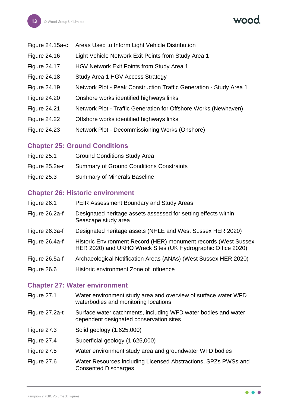- Figure 24.15a-c Areas Used to Inform Light Vehicle Distribution
- Figure 24.16 Light Vehicle Network Exit Points from Study Area 1
- Figure 24.17 HGV Network Exit Points from Study Area 1
- Figure 24.18 Study Area 1 HGV Access Strategy
- Figure 24.19 Network Plot Peak Construction Traffic Generation Study Area 1
- Figure 24.20 Onshore works identified highways links
- Figure 24.21 Network Plot Traffic Generation for Offshore Works (Newhaven)
- Figure 24.22 Offshore works identified highways links
- Figure 24.23 Network Plot Decommissioning Works (Onshore)

#### **Chapter 25: Ground Conditions**

- Figure 25.1 Ground Conditions Study Area
- Figure 25.2a-r Summary of Ground Conditions Constraints
- Figure 25.3 Summary of Minerals Baseline

# **Chapter 26: Historic environment**

| Figure 26.1    | PEIR Assessment Boundary and Study Areas                                                                                        |
|----------------|---------------------------------------------------------------------------------------------------------------------------------|
| Figure 26.2a-f | Designated heritage assets assessed for setting effects within<br>Seascape study area                                           |
| Figure 26.3a-f | Designated heritage assets (NHLE and West Sussex HER 2020)                                                                      |
| Figure 26.4a-f | Historic Environment Record (HER) monument records (West Sussex<br>HER 2020) and UKHO Wreck Sites (UK Hydrographic Office 2020) |
| Figure 26.5a-f | Archaeological Notification Areas (ANAs) (West Sussex HER 2020)                                                                 |
| Figure 26.6    | Historic environment Zone of Influence                                                                                          |

#### **Chapter 27: Water environment**

| Figure 27.1 | Water environment study area and overview of surface water WFD |
|-------------|----------------------------------------------------------------|
|             | waterbodies and monitoring locations                           |

- Figure 27.2a-t Surface water catchments, including WFD water bodies and water dependent designated conservation sites
- Figure 27.3 Solid geology (1:625,000)
- Figure 27.4 Superficial geology (1:625,000)
- Figure 27.5 Water environment study area and groundwater WFD bodies
- Figure 27.6 Water Resources including Licensed Abstractions, SPZs PWSs and Consented Discharges